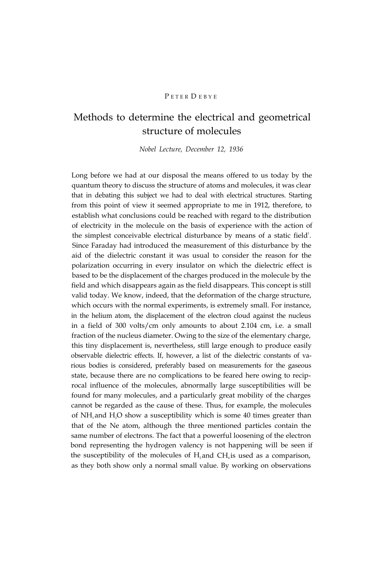# PETER DEBYE

# Methods to determine the electrical and geometrical structure of molecules

*Nobel Lecture, December 12, 1936*

Long before we had at our disposal the means offered to us today by the quantum theory to discuss the structure of atoms and molecules, it was clear that in debating this subject we had to deal with electrical structures. Starting from this point of view it seemed appropriate to me in 1912, therefore, to establish what conclusions could be reached with regard to the distribution of electricity in the molecule on the basis of experience with the action of the simplest conceivable electrical disturbance by means of a static field $^{1}$ . Since Faraday had introduced the measurement of this disturbance by the aid of the dielectric constant it was usual to consider the reason for the polarization occurring in every insulator on which the dielectric effect is based to be the displacement of the charges produced in the molecule by the field and which disappears again as the field disappears. This concept is still valid today. We know, indeed, that the deformation of the charge structure, which occurs with the normal experiments, is extremely small. For instance, in the helium atom, the displacement of the electron cloud against the nucleus in a field of 300 volts/cm only amounts to about 2.104 cm, i.e. a small fraction of the nucleus diameter. Owing to the size of the elementary charge, this tiny displacement is, nevertheless, still large enough to produce easily observable dielectric effects. If, however, a list of the dielectric constants of various bodies is considered, preferably based on measurements for the gaseous state, because there are no complications to be feared here owing to reciprocal influence of the molecules, abnormally large susceptibilities will be found for many molecules, and a particularly great mobility of the charges cannot be regarded as the cause of these. Thus, for example, the molecules of  $NH<sub>3</sub>$  and  $H<sub>2</sub>O$  show a susceptibility which is some 40 times greater than that of the Ne atom, although the three mentioned particles contain the same number of electrons. The fact that a powerful loosening of the electron bond representing the hydrogen valency is not happening will be seen if the susceptibility of the molecules of  $H$ , and  $CH<sub>4</sub>$  is used as a comparison, as they both show only a normal small value. By working on observations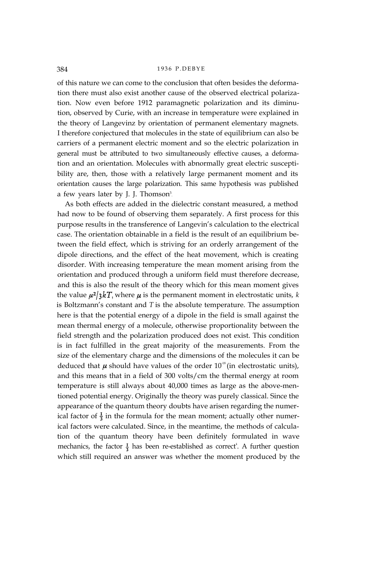of this nature we can come to the conclusion that often besides the deformation there must also exist another cause of the observed electrical polarization. Now even before 1912 paramagnetic polarization and its diminution, observed by Curie, with an increase in temperature were explained in the theory of Langevinz by orientation of permanent elementary magnets. I therefore conjectured that molecules in the state of equilibrium can also be carriers of a permanent electric moment and so the electric polarization in general must be attributed to two simultaneously effective causes, a deformation and an orientation. Molecules with abnormally great electric susceptibility are, then, those with a relatively large permanent moment and its orientation causes the large polarization. This same hypothesis was published a few years later by J. J. Thomson<sup>3</sup>.

As both effects are added in the dielectric constant measured, a method had now to be found of observing them separately. A first process for this purpose results in the transference of Langevin's calculation to the electrical case. The orientation obtainable in a field is the result of an equilibrium between the field effect, which is striving for an orderly arrangement of the dipole directions, and the effect of the heat movement, which is creating disorder. With increasing temperature the mean moment arising from the orientation and produced through a uniform field must therefore decrease, and this is also the result of the theory which for this mean moment gives the value  $\mu^2/3kT$ , where  $\mu$  is the permanent moment in electrostatic units, *k* is Boltzmann's constant and *T* is the absolute temperature. The assumption here is that the potential energy of a dipole in the field is small against the mean thermal energy of a molecule, otherwise proportionality between the field strength and the polarization produced does not exist. This condition is in fact fulfilled in the great majority of the measurements. From the size of the elementary charge and the dimensions of the molecules it can be deduced that  $\mu$  should have values of the order 10<sup>-18</sup> (in electrostatic units), and this means that in a field of 300 volts/cm the thermal energy at room temperature is still always about 40,000 times as large as the above-mentioned potential energy. Originally the theory was purely classical. Since the appearance of the quantum theory doubts have arisen regarding the numerical factor of  $\frac{1}{3}$  in the formula for the mean moment; actually other numerical factors were calculated. Since, in the meantime, the methods of calculation of the quantum theory have been definitely formulated in wave mechanics, the factor  $\frac{1}{3}$  has been re-established as correct<sup>4</sup>. A further question which still required an answer was whether the moment produced by the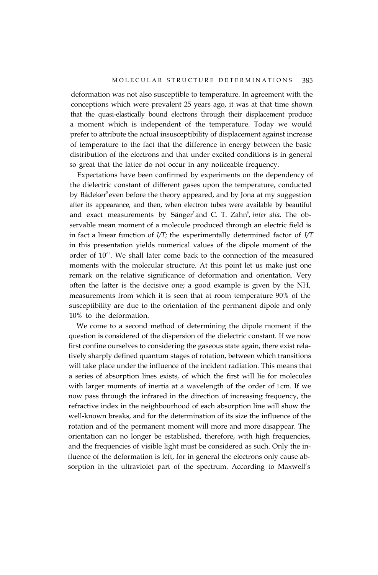deformation was not also susceptible to temperature. In agreement with the conceptions which were prevalent 25 years ago, it was at that time shown that the quasi-elastically bound electrons through their displacement produce a moment which is independent of the temperature. Today we would prefer to attribute the actual insusceptibility of displacement against increase of temperature to the fact that the difference in energy between the basic distribution of the electrons and that under excited conditions is in general so great that the latter do not occur in any noticeable frequency.

Expectations have been confirmed by experiments on the dependency of the dielectric constant of different gases upon the temperature, conducted by Bádeker<sup>5</sup> even before the theory appeared, and by Jona at my suggestion after its appearance, and then, when electron tubes were available by beautiful and exact measurements by Sänger<sup>7</sup> and C. T. Zahn<sup>8</sup>, *inter alia*. The observable mean moment of a molecule produced through an electric field is in fact a linear function of *I/T;* the experimentally determined factor of *I/T* in this presentation yields numerical values of the dipole moment of the order of 10<sup>-18</sup>. We shall later come back to the connection of the measured moments with the molecular structure. At this point let us make just one remark on the relative significance of deformation and orientation. Very often the latter is the decisive one; a good example is given by the NH, measurements from which it is seen that at room temperature 90% of the susceptibility are due to the orientation of the permanent dipole and only 10% to the deformation.

We come to a second method of determining the dipole moment if the question is considered of the dispersion of the dielectric constant. If we now first confine ourselves to considering the gaseous state again, there exist relatively sharply defined quantum stages of rotation, between which transitions will take place under the influence of the incident radiation. This means that a series of absorption lines exists, of which the first will lie for molecules with larger moments of inertia at a wavelength of the order of I cm. If we now pass through the infrared in the direction of increasing frequency, the refractive index in the neighbourhood of each absorption line will show the well-known breaks, and for the determination of its size the influence of the rotation and of the permanent moment will more and more disappear. The orientation can no longer be established, therefore, with high frequencies, and the frequencies of visible light must be considered as such. Only the influence of the deformation is left, for in general the electrons only cause absorption in the ultraviolet part of the spectrum. According to Maxwell's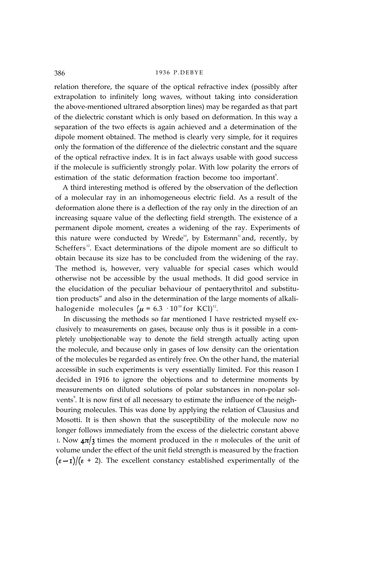relation therefore, the square of the optical refractive index (possibly after extrapolation to infinitely long waves, without taking into consideration the above-mentioned ultrared absorption lines) may be regarded as that part of the dielectric constant which is only based on deformation. In this way a separation of the two effects is again achieved and a determination of the dipole moment obtained. The method is clearly very simple, for it requires only the formation of the difference of the dielectric constant and the square of the optical refractive index. It is in fact always usable with good success if the molecule is sufficiently strongly polar. With low polarity the errors of estimation of the static deformation fraction become too important<sup>9</sup>.

A third interesting method is offered by the observation of the deflection of a molecular ray in an inhomogeneous electric field. As a result of the deformation alone there is a deflection of the ray only in the direction of an increasing square value of the deflecting field strength. The existence of a permanent dipole moment, creates a widening of the ray. Experiments of this nature were conducted by Wrede<sup>10</sup>, by Estermann<sup>11</sup> and, recently, by Scheffers<sup>12</sup>. Exact determinations of the dipole moment are so difficult to obtain because its size has to be concluded from the widening of the ray. The method is, however, very valuable for special cases which would otherwise not be accessible by the usual methods. It did good service in the elucidation of the peculiar behaviour of pentaerythritol and substitution products" and also in the determination of the large moments of alkalihalogenide molecules ( $\mu$  = 6.3 · 10<sup>18</sup> for KCl)<sup>12</sup>.

In discussing the methods so far mentioned I have restricted myself exclusively to measurements on gases, because only thus is it possible in a completely unobjectionable way to denote the field strength actually acting upon the molecule, and because only in gases of low density can the orientation of the molecules be regarded as entirely free. On the other hand, the material accessible in such experiments is very essentially limited. For this reason I decided in 1916 to ignore the objections and to determine moments by measurements on diluted solutions of polar substances in non-polar solvents<sup>9</sup>. It is now first of all necessary to estimate the influence of the neighbouring molecules. This was done by applying the relation of Clausius and Mosotti. It is then shown that the susceptibility of the molecule now no longer follows immediately from the excess of the dielectric constant above I. Now  $4\pi/3$  times the moment produced in the *n* molecules of the unit of volume under the effect of the unit field strength is measured by the fraction  $(\varepsilon - 1)/(\varepsilon + 2)$ . The excellent constancy established experimentally of the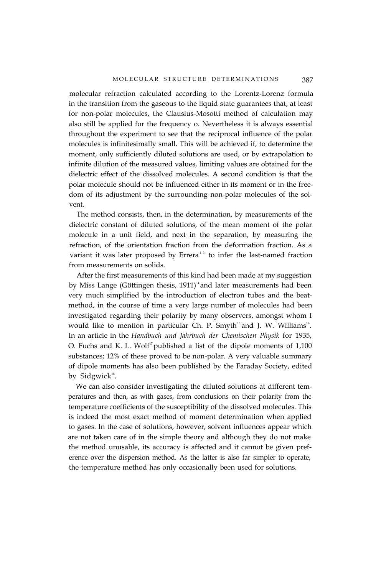molecular refraction calculated according to the Lorentz-Lorenz formula in the transition from the gaseous to the liquid state guarantees that, at least for non-polar molecules, the Clausius-Mosotti method of calculation may also still be applied for the frequency o. Nevertheless it is always essential throughout the experiment to see that the reciprocal influence of the polar molecules is infinitesimally small. This will be achieved if, to determine the moment, only sufficiently diluted solutions are used, or by extrapolation to infinite dilution of the measured values, limiting values are obtained for the dielectric effect of the dissolved molecules. A second condition is that the polar molecule should not be influenced either in its moment or in the freedom of its adjustment by the surrounding non-polar molecules of the solvent.

The method consists, then, in the determination, by measurements of the dielectric constant of diluted solutions, of the mean moment of the polar molecule in a unit field, and next in the separation, by measuring the refraction, of the orientation fraction from the deformation fraction. As a variant it was later proposed by Errera<sup>13</sup> to infer the last-named fraction from measurements on solids.

After the first measurements of this kind had been made at my suggestion by Miss Lange (Göttingen thesis,  $1911$ )<sup>14</sup> and later measurements had been very much simplified by the introduction of electron tubes and the beatmethod, in the course of time a very large number of molecules had been investigated regarding their polarity by many observers, amongst whom I would like to mention in particular Ch. P. Smyth $^{15}$ and J. W. Williams $^{16}$ . In an article in the *Handbuch und Jahrbuch der Chemischen Physik* for 1935, O. Fuchs and K. L. Wolf<sup>17</sup> published a list of the dipole moments of  $1,100$ substances; 12% of these proved to be non-polar. A very valuable summary of dipole moments has also been published by the Faraday Society, edited by Sidgwick $18$ .

We can also consider investigating the diluted solutions at different temperatures and then, as with gases, from conclusions on their polarity from the temperature coefficients of the susceptibility of the dissolved molecules. This is indeed the most exact method of moment determination when applied to gases. In the case of solutions, however, solvent influences appear which are not taken care of in the simple theory and although they do not make the method unusable, its accuracy is affected and it cannot be given preference over the dispersion method. As the latter is also far simpler to operate, the temperature method has only occasionally been used for solutions.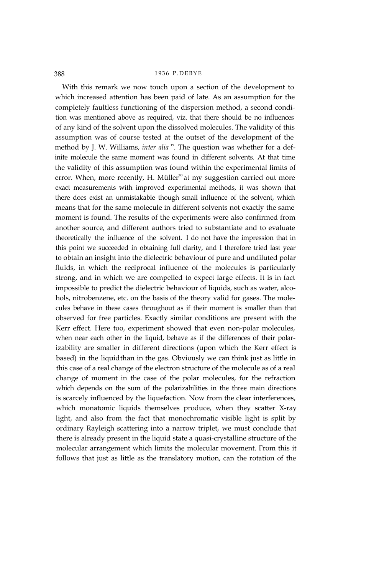With this remark we now touch upon a section of the development to which increased attention has been paid of late. As an assumption for the completely faultless functioning of the dispersion method, a second condition was mentioned above as required, viz. that there should be no influences of any kind of the solvent upon the dissolved molecules. The validity of this assumption was of course tested at the outset of the development of the method by J. W. Williams, *inter alia*<sup>19</sup>. The question was whether for a definite molecule the same moment was found in different solvents. At that time the validity of this assumption was found within the experimental limits of error. When, more recently, H. Müller<sup>20</sup> at my suggestion carried out more exact measurements with improved experimental methods, it was shown that there does exist an unmistakable though small influence of the solvent, which means that for the same molecule in different solvents not exactly the same moment is found. The results of the experiments were also confirmed from another source, and different authors tried to substantiate and to evaluate theoretically the influence of the solvent. I do not have the impression that in this point we succeeded in obtaining full clarity, and I therefore tried last year to obtain an insight into the dielectric behaviour of pure and undiluted polar fluids, in which the reciprocal influence of the molecules is particularly strong, and in which we are compelled to expect large effects. It is in fact impossible to predict the dielectric behaviour of liquids, such as water, alcohols, nitrobenzene, etc. on the basis of the theory valid for gases. The molecules behave in these cases throughout as if their moment is smaller than that observed for free particles. Exactly similar conditions are present with the Kerr effect. Here too, experiment showed that even non-polar molecules, when near each other in the liquid, behave as if the differences of their polarizability are smaller in different directions (upon which the Kerr effect is based) in the liquid than in the gas. Obviously we can think just as little in this case of a real change of the electron structure of the molecule as of a real change of moment in the case of the polar molecules, for the refraction which depends on the sum of the polarizabilities in the three main directions is scarcely influenced by the liquefaction. Now from the clear interferences, which monatomic liquids themselves produce, when they scatter X-ray light, and also from the fact that monochromatic visible light is split by ordinary Rayleigh scattering into a narrow triplet, we must conclude that there is already present in the liquid state a quasi-crystalline structure of the molecular arrangement which limits the molecular movement. From this it follows that just as little as the translatory motion, can the rotation of the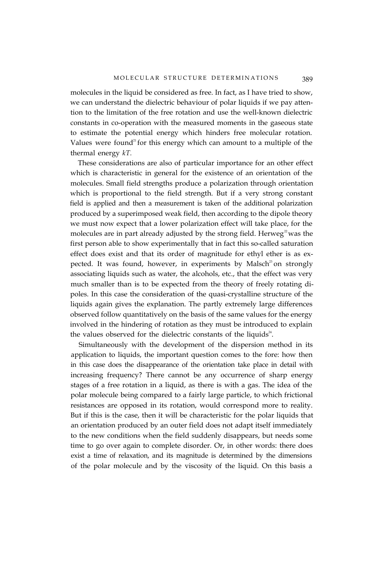molecules in the liquid be considered as free. In fact, as I have tried to show, we can understand the dielectric behaviour of polar liquids if we pay attention to the limitation of the free rotation and use the well-known dielectric constants in co-operation with the measured moments in the gaseous state to estimate the potential energy which hinders free molecular rotation. Values were found<sup>21</sup> for this energy which can amount to a multiple of the thermal energy *kT.*

These considerations are also of particular importance for an other effect which is characteristic in general for the existence of an orientation of the molecules. Small field strengths produce a polarization through orientation which is proportional to the field strength. But if a very strong constant field is applied and then a measurement is taken of the additional polarization produced by a superimposed weak field, then according to the dipole theory we must now expect that a lower polarization effect will take place, for the molecules are in part already adjusted by the strong field. Herweg<sup>22</sup> was the first person able to show experimentally that in fact this so-called saturation effect does exist and that its order of magnitude for ethyl ether is as expected. It was found, however, in experiments by Malsch<sup>23</sup> on strongly associating liquids such as water, the alcohols, etc., that the effect was very much smaller than is to be expected from the theory of freely rotating dipoles. In this case the consideration of the quasi-crystalline structure of the liquids again gives the explanation. The partly extremely large differences observed follow quantitatively on the basis of the same values for the energy involved in the hindering of rotation as they must be introduced to explain the values observed for the dielectric constants of the liquids $24$ .

Simultaneously with the development of the dispersion method in its application to liquids, the important question comes to the fore: how then in this case does the disappearance of the orientation take place in detail with increasing frequency? There cannot be any occurrence of sharp energy stages of a free rotation in a liquid, as there is with a gas. The idea of the polar molecule being compared to a fairly large particle, to which frictional resistances are opposed in its rotation, would correspond more to reality. But if this is the case, then it will be characteristic for the polar liquids that an orientation produced by an outer field does not adapt itself immediately to the new conditions when the field suddenly disappears, but needs some time to go over again to complete disorder. Or, in other words: there does exist a time of relaxation, and its magnitude is determined by the dimensions of the polar molecule and by the viscosity of the liquid. On this basis a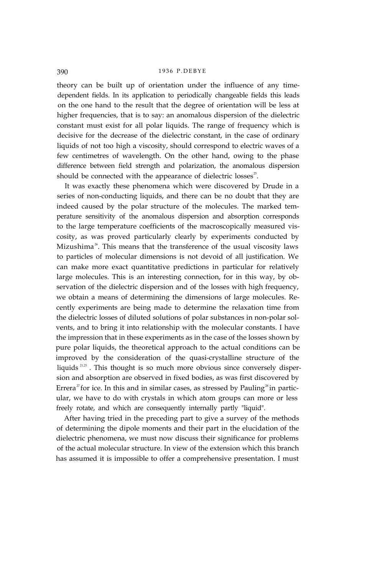theory can be built up of orientation under the influence of any timedependent fields. In its application to periodically changeable fields this leads on the one hand to the result that the degree of orientation will be less at higher frequencies, that is to say: an anomalous dispersion of the dielectric constant must exist for all polar liquids. The range of frequency which is decisive for the decrease of the dielectric constant, in the case of ordinary liquids of not too high a viscosity, should correspond to electric waves of a few centimetres of wavelength. On the other hand, owing to the phase difference between field strength and polarization, the anomalous dispersion should be connected with the appearance of dielectric losses $25$ .

It was exactly these phenomena which were discovered by Drude in a series of non-conducting liquids, and there can be no doubt that they are indeed caused by the polar structure of the molecules. The marked temperature sensitivity of the anomalous dispersion and absorption corresponds to the large temperature coefficients of the macroscopically measured viscosity, as was proved particularly clearly by experiments conducted by Mizushima<sup>26</sup>. This means that the transference of the usual viscosity laws to particles of molecular dimensions is not devoid of all justification. We can make more exact quantitative predictions in particular for relatively large molecules. This is an interesting connection, for in this way, by observation of the dielectric dispersion and of the losses with high frequency, we obtain a means of determining the dimensions of large molecules. Recently experiments are being made to determine the relaxation time from the dielectric losses of diluted solutions of polar substances in non-polar solvents, and to bring it into relationship with the molecular constants. I have the impression that in these experiments as in the case of the losses shown by pure polar liquids, the theoretical approach to the actual conditions can be improved by the consideration of the quasi-crystalline structure of the liquids 21,25 . This thought is so much more obvious since conversely dispersion and absorption are observed in fixed bodies, as was first discovered by Errera<sup> $x$ </sup> for ice. In this and in similar cases, as stressed by Pauling<sup>28</sup> in particular, we have to do with crystals in which atom groups can more or less freely rotate, and which are consequently internally partly "liquid".

After having tried in the preceding part to give a survey of the methods of determining the dipole moments and their part in the elucidation of the dielectric phenomena, we must now discuss their significance for problems of the actual molecular structure. In view of the extension which this branch has assumed it is impossible to offer a comprehensive presentation. I must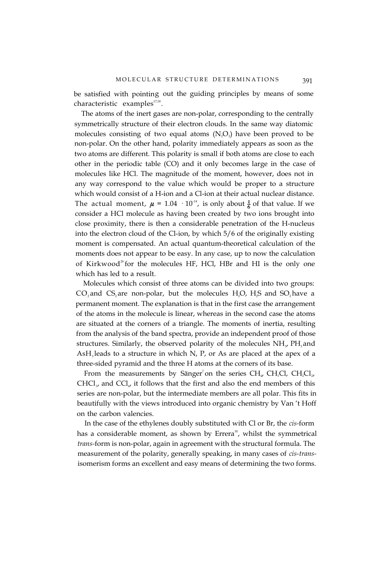be satisfied with pointing out the guiding principles by means of some characteristic examples $^{17,18}$ .

The atoms of the inert gases are non-polar, corresponding to the centrally symmetrically structure of their electron clouds. In the same way diatomic molecules consisting of two equal atoms  $(N_2O_2)$  have been proved to be non-polar. On the other hand, polarity immediately appears as soon as the two atoms are different. This polarity is small if both atoms are close to each other in the periodic table (CO) and it only becomes large in the case of molecules like HCl. The magnitude of the moment, however, does not in any way correspond to the value which would be proper to a structure which would consist of a H-ion and a Cl-ion at their actual nuclear distance. The actual moment,  $\mu = 1.04 \cdot 10^{18}$ , is only about  $\frac{1}{6}$  of that value. If we consider a HCl molecule as having been created by two ions brought into close proximity, there is then a considerable penetration of the H-nucleus into the electron cloud of the Cl-ion, by which 5/6 of the originally existing moment is compensated. An actual quantum-theoretical calculation of the moments does not appear to be easy. In any case, up to now the calculation of Kirkwood<sup>29</sup> for the molecules HF, HCl, HBr and HI is the only one which has led to a result.

Molecules which consist of three atoms can be divided into two groups:  $CO_2$  and  $CS_2$  are non-polar, but the molecules  $H_2O$ ,  $H_2S$  and  $SO_2$  have a permanent moment. The explanation is that in the first case the arrangement of the atoms in the molecule is linear, whereas in the second case the atoms are situated at the corners of a triangle. The moments of inertia, resulting from the analysis of the band spectra, provide an independent proof of those structures. Similarly, the observed polarity of the molecules  $NH_{3}$ , PH<sub>3</sub> and  $AsH<sub>3</sub>$  leads to a structure in which N, P, or As are placed at the apex of a three-sided pyramid and the three H atoms at the corners of its base.

From the measurements by Sänger<sup>7</sup> on the series CH<sub>4</sub>, CH<sub>3</sub>Cl<sub>2</sub>, CH<sub>2</sub>Cl<sub>2</sub>,  $CHCl<sub>x</sub>$  and  $Cl<sub>4</sub>$ , it follows that the first and also the end members of this series are non-polar, but the intermediate members are all polar. This fits in beautifully with the views introduced into organic chemistry by Van 't Hoff on the carbon valencies.

In the case of the ethylenes doubly substituted with Cl or Br, the *cis-*form has a considerable moment, as shown by Errera<sup>30</sup>, whilst the symmetrical *trans-*form is non-polar, again in agreement with the structural formula. The measurement of the polarity, generally speaking, in many cases of *cis-trans*isomerism forms an excellent and easy means of determining the two forms.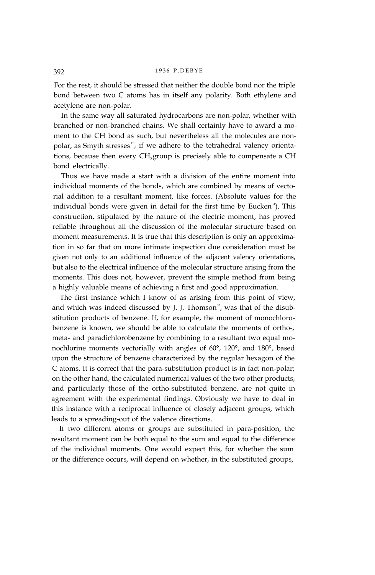For the rest, it should be stressed that neither the double bond nor the triple bond between two C atoms has in itself any polarity. Both ethylene and acetylene are non-polar.

In the same way all saturated hydrocarbons are non-polar, whether with branched or non-branched chains. We shall certainly have to award a moment to the CH bond as such, but nevertheless all the molecules are nonpolar, as Smyth stresses<sup>15</sup>, if we adhere to the tetrahedral valency orientations, because then every  $CH<sub>3</sub>$ group is precisely able to compensate a CH bond electrically.

Thus we have made a start with a division of the entire moment into individual moments of the bonds, which are combined by means of vectorial addition to a resultant moment, like forces. (Absolute values for the individual bonds were given in detail for the first time by Eucken<sup>31</sup>). This construction, stipulated by the nature of the electric moment, has proved reliable throughout all the discussion of the molecular structure based on moment measurements. It is true that this description is only an approximation in so far that on more intimate inspection due consideration must be given not only to an additional influence of the adjacent valency orientations, but also to the electrical influence of the molecular structure arising from the moments. This does not, however, prevent the simple method from being a highly valuable means of achieving a first and good approximation.

The first instance which I know of as arising from this point of view, and which was indeed discussed by J. J. Thomson<sup>32</sup>, was that of the disubstitution products of benzene. If, for example, the moment of monochlorobenzene is known, we should be able to calculate the moments of ortho-, meta- and paradichlorobenzene by combining to a resultant two equal monochlorine moments vectorially with angles of 60°, 120°, and 180°, based upon the structure of benzene characterized by the regular hexagon of the C atoms. It is correct that the para-substitution product is in fact non-polar; on the other hand, the calculated numerical values of the two other products, and particularly those of the ortho-substituted benzene, are not quite in agreement with the experimental findings. Obviously we have to deal in this instance with a reciprocal influence of closely adjacent groups, which leads to a spreading-out of the valence directions.

If two different atoms or groups are substituted in para-position, the resultant moment can be both equal to the sum and equal to the difference of the individual moments. One would expect this, for whether the sum or the difference occurs, will depend on whether, in the substituted groups,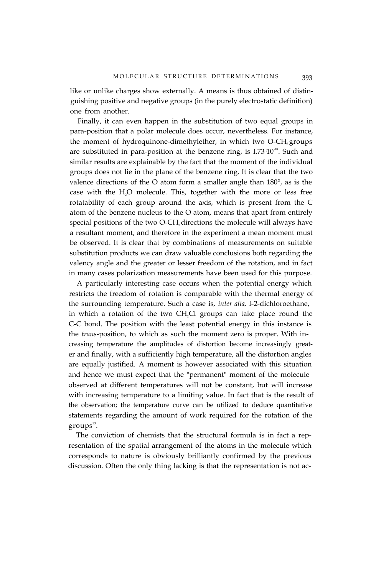like or unlike charges show externally. A means is thus obtained of distinguishing positive and negative groups (in the purely electrostatic definition) one from another.

Finally, it can even happen in the substitution of two equal groups in para-position that a polar molecule does occur, nevertheless. For instance, the moment of hydroquinone-dimethylether, in which two O-CH<sub>3</sub> groups are substituted in para-position at the benzene ring, is  $I.73 \, 10^{-18}$ . Such and similar results are explainable by the fact that the moment of the individual groups does not lie in the plane of the benzene ring. It is clear that the two valence directions of the O atom form a smaller angle than 180°, as is the case with the H<sub>2</sub>O molecule. This, together with the more or less free rotatability of each group around the axis, which is present from the C atom of the benzene nucleus to the O atom, means that apart from entirely special positions of the two O-CH<sub>3</sub> directions the molecule will always have a resultant moment, and therefore in the experiment a mean moment must be observed. It is clear that by combinations of measurements on suitable substitution products we can draw valuable conclusions both regarding the valency angle and the greater or lesser freedom of the rotation, and in fact in many cases polarization measurements have been used for this purpose.

A particularly interesting case occurs when the potential energy which restricts the freedom of rotation is comparable with the thermal energy of the surrounding temperature. Such a case is, *inter alia,* I-2-dichloroethane, in which a rotation of the two CH<sub>2</sub>Cl groups can take place round the C-C bond. The position with the least potential energy in this instance is the *trans-*position, to which as such the moment zero is proper. With increasing temperature the amplitudes of distortion become increasingly greater and finally, with a sufficiently high temperature, all the distortion angles are equally justified. A moment is however associated with this situation and hence we must expect that the "permanent" moment of the molecule observed at different temperatures will not be constant, but will increase with increasing temperature to a limiting value. In fact that is the result of the observation; the temperature curve can be utilized to deduce quantitative statements regarding the amount of work required for the rotation of the  $groups^{33}.$ 

The conviction of chemists that the structural formula is in fact a representation of the spatial arrangement of the atoms in the molecule which corresponds to nature is obviously brilliantly confirmed by the previous discussion. Often the only thing lacking is that the representation is not ac-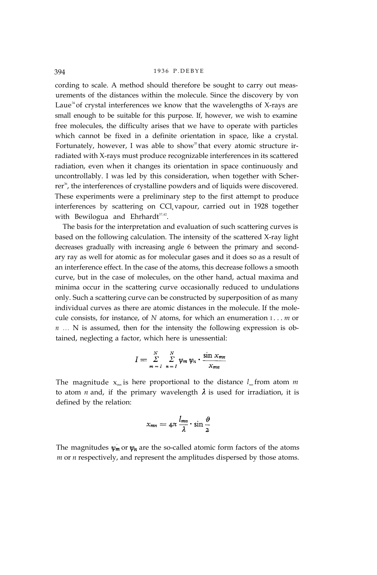cording to scale. A method should therefore be sought to carry out measurements of the distances within the molecule. Since the discovery by von Laue<sup>34</sup> of crystal interferences we know that the wavelengths of X-rays are small enough to be suitable for this purpose. If, however, we wish to examine free molecules, the difficulty arises that we have to operate with particles which cannot be fixed in a definite orientation in space, like a crystal. Fortunately, however, I was able to show<sup>35</sup> that every atomic structure irradiated with X-rays must produce recognizable interferences in its scattered radiation, even when it changes its orientation in space continuously and uncontrollably. I was led by this consideration, when together with Scherrer<sup>36</sup>, the interferences of crystalline powders and of liquids were discovered. These experiments were a preliminary step to the first attempt to produce interferences by scattering on CCl<sub>4</sub> vapour, carried out in 1928 together with Bewilogua and Ehrhardt<sup>37,42</sup>.

The basis for the interpretation and evaluation of such scattering curves is based on the following calculation. The intensity of the scattered X-ray light decreases gradually with increasing angle 6 between the primary and secondary ray as well for atomic as for molecular gases and it does so as a result of an interference effect. In the case of the atoms, this decrease follows a smooth curve, but in the case of molecules, on the other hand, actual maxima and minima occur in the scattering curve occasionally reduced to undulations only. Such a scattering curve can be constructed by superposition of as many individual curves as there are atomic distances in the molecule. If the molecule consists, for instance, of *N* atoms, for which an enumeration I... *m* or *n* ... N is assumed, then for the intensity the following expression is obtained, neglecting a factor, which here is unessential:

$$
I = \sum_{m=I}^{N} \sum_{n=I}^{N} \psi_m \psi_n \cdot \frac{\sin x_{mn}}{x_{mn}}
$$

The magnitude  $x_{mn}$  is here proportional to the distance  $l_{mn}$  from atom  $m$ to atom *n* and, if the primary wavelength  $\lambda$  is used for irradiation, it is defined by the relation:

$$
x_{mn} = 4\pi \frac{l_{mn}}{\lambda} \cdot \sin \frac{\vartheta}{2}
$$

The magnitudes  $\psi_m$  or  $\psi_n$  are the so-called atomic form factors of the atoms *m* or *n* respectively, and represent the amplitudes dispersed by those atoms.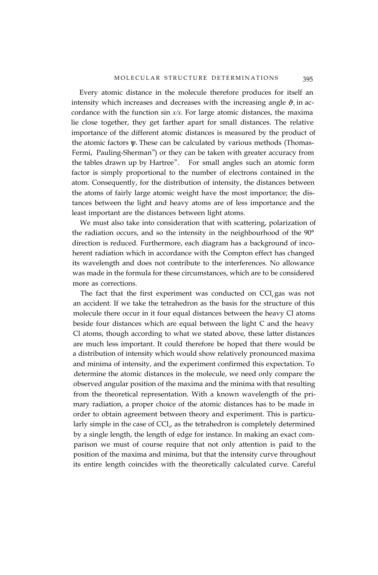Every atomic distance in the molecule therefore produces for itself an intensity which increases and decreases with the increasing angle  $\vartheta$ , in accordance with the function sin *x/x.* For large atomic distances, the maxima lie close together, they get farther apart for small distances. The relative importance of the different atomic distances is measured by the product of the atomic factors  $\psi$ . These can be calculated by various methods (Thomas-Fermi, Pauling-Sherman<sup>38</sup>) or they can be taken with greater accuracy from the tables drawn up by Hartree<sup>39</sup>. For small angles such an atomic form factor is simply proportional to the number of electrons contained in the atom. Consequently, for the distribution of intensity, the distances between the atoms of fairly large atomic weight have the most importance; the distances between the light and heavy atoms are of less importance and the least important are the distances between light atoms.

We must also take into consideration that with scattering, polarization of the radiation occurs, and so the intensity in the neighbourhood of the 90° direction is reduced. Furthermore, each diagram has a background of incoherent radiation which in accordance with the Compton effect has changed its wavelength and does not contribute to the interferences. No allowance was made in the formula for these circumstances, which are to be considered more as corrections.

The fact that the first experiment was conducted on  $\text{Cl}_4$  gas was not an accident. If we take the tetrahedron as the basis for the structure of this molecule there occur in it four equal distances between the heavy Cl atoms beside four distances which are equal between the light C and the heavy Cl atoms, though according to what we stated above, these latter distances are much less important. It could therefore be hoped that there would be a distribution of intensity which would show relatively pronounced maxima and minima of intensity, and the experiment confirmed this expectation. To determine the atomic distances in the molecule, we need only compare the observed angular position of the maxima and the minima with that resulting from the theoretical representation. With a known wavelength of the primary radiation, a proper choice of the atomic distances has to be made in order to obtain agreement between theory and experiment. This is particularly simple in the case of  $\text{CCI}_{\mu}$  as the tetrahedron is completely determined by a single length, the length of edge for instance. In making an exact comparison we must of course require that not only attention is paid to the position of the maxima and minima, but that the intensity curve throughout its entire length coincides with the theoretically calculated curve. Careful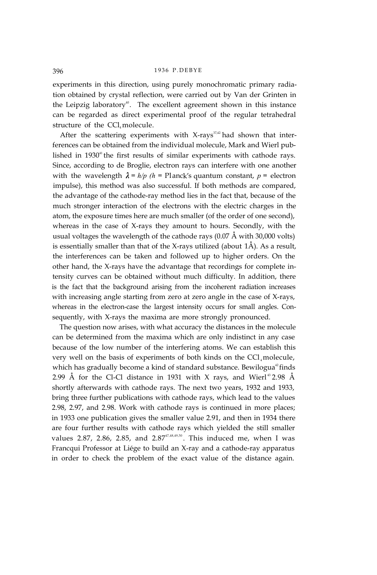experiments in this direction, using purely monochromatic primary radiation obtained by crystal reflection, were carried out by Van der Grinten in the Leipzig laboratory<sup>40</sup>. The excellent agreement shown in this instance can be regarded as direct experimental proof of the regular tetrahedral structure of the CCl<sub>4</sub> molecule.

After the scattering experiments with X-rays<sup>37,42</sup> had shown that interferences can be obtained from the individual molecule, Mark and Wierl published in  $1930<sup>41</sup>$  the first results of similar experiments with cathode rays. Since, according to de Broglie, electron rays can interfere with one another with the wavelength  $\lambda = h/p$  ( $h =$  Planck's quantum constant,  $p =$  electron impulse), this method was also successful. If both methods are compared, the advantage of the cathode-ray method lies in the fact that, because of the much stronger interaction of the electrons with the electric charges in the atom, the exposure times here are much smaller (of the order of one second), whereas in the case of X-rays they amount to hours. Secondly, with the usual voltages the wavelength of the cathode rays (0.07 Å with 30,000 volts) is essentially smaller than that of the X-rays utilized (about 1Å). As a result, the interferences can be taken and followed up to higher orders. On the other hand, the X-rays have the advantage that recordings for complete intensity curves can be obtained without much difficulty. In addition, there is the fact that the background arising from the incoherent radiation increases with increasing angle starting from zero at zero angle in the case of X-rays, whereas in the electron-case the largest intensity occurs for small angles. Consequently, with X-rays the maxima are more strongly pronounced.

The question now arises, with what accuracy the distances in the molecule can be determined from the maxima which are only indistinct in any case because of the low number of the interfering atoms. We can establish this very well on the basis of experiments of both kinds on the CCl<sub>4</sub> molecule, which has gradually become a kind of standard substance. Bewilogua<sup>42</sup> finds 2.99 Å for the Cl-Cl distance in 1931 with X rays, and Wierl<sup>43</sup> 2.98 Å shortly afterwards with cathode rays. The next two years, 1932 and 1933, bring three further publications with cathode rays, which lead to the values 2.98, 2.97, and 2.98. Work with cathode rays is continued in more places; in 1933 one publication gives the smaller value 2.91, and then in 1934 there are four further results with cathode rays which yielded the still smaller values 2.87, 2.86, 2.85, and 2.87 $47,48,49,50$ . This induced me, when I was Francqui Professor at Liége to build an X-ray and a cathode-ray apparatus in order to check the problem of the exact value of the distance again.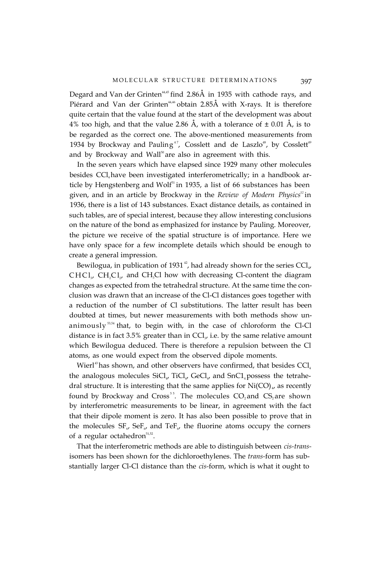Degard and Van der Grinten<sup>44,5</sup> find 2.86Å in 1935 with cathode rays, and Piérard and Van der Grinten<sup>44,46</sup> obtain 2.85Å with X-rays. It is therefore quite certain that the value found at the start of the development was about 4% too high, and that the value 2.86 Å, with a tolerance of  $\pm$  0.01 Å, is to be regarded as the correct one. The above-mentioned measurements from 1934 by Brockway and Pauling<sup>47</sup>, Cosslett and de Laszlo<sup>48</sup>, by Cosslett<sup>49</sup> and by Brockway and Wall $50$ <sup>50</sup> are also in agreement with this.

In the seven years which have elapsed since 1929 many other molecules besides CCl<sub>4</sub> have been investigated interferometrically; in a handbook article by Hengstenberg and Wolf $51$  in 1935, a list of 66 substances has been given, and in an article by Brockway in the *Review of Modern Physics*<sup>52</sup> in 1936, there is a list of 143 substances. Exact distance details, as contained in such tables, are of special interest, because they allow interesting conclusions on the nature of the bond as emphasized for instance by Pauling. Moreover, the picture we receive of the spatial structure is of importance. Here we have only space for a few incomplete details which should be enough to create a general impression.

Bewilogua, in publication of 1931<sup>42</sup>, had already shown for the series  $\text{CC}l_{\mu}$  $CHCl<sub>3</sub>$ ,  $CH<sub>2</sub>Cl<sub>2</sub>$ , and  $CH<sub>3</sub>Cl$  how with decreasing Cl-content the diagram changes as expected from the tetrahedral structure. At the same time the conclusion was drawn that an increase of the Cl-Cl distances goes together with a reduction of the number of Cl substitutions. The latter result has been doubted at times, but newer measurements with both methods show unanimously  $53,54$  that, to begin with, in the case of chloroform the Cl-Cl distance is in fact  $3.5\%$  greater than in CCl<sub> $<sub>y</sub>$ </sub> i.e. by the same relative amount</sub> which Bewilogua deduced. There is therefore a repulsion between the Cl atoms, as one would expect from the observed dipole moments.

Wierl<sup>43</sup> has shown, and other observers have confirmed, that besides  $\text{CCl}_4$ the analogous molecules  $\text{SiCl}_{4}$ ,  $\text{TiCl}_{4}$ ,  $\text{GeCl}_{4}$ , and  $\text{SnCl}_{4}$  possess the tetrahedral structure. It is interesting that the same applies for  $\text{Ni(CO)}_{4}$  as recently found by Brockway and Cross<sup>55</sup>. The molecules CO<sub>2</sub> and CS<sub>2</sub> are shown by interferometric measurements to be linear, in agreement with the fact that their dipole moment is zero. It has also been possible to prove that in the molecules  $SF_{6}$ ,  $SeF_{6}$  and  $TeF_{6}$ , the fluorine atoms occupy the corners of a regular octahedron $51,52$ .

That the interferometric methods are able to distinguish between *cis-trans*isomers has been shown for the dichloroethylenes. The *trans-*form has substantially larger Cl-Cl distance than the *cis-*form, which is what it ought to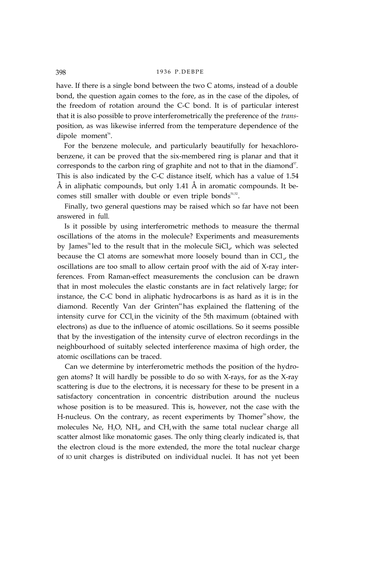have. If there is a single bond between the two C atoms, instead of a double bond, the question again comes to the fore, as in the case of the dipoles, of the freedom of rotation around the C-C bond. It is of particular interest that it is also possible to prove interferometrically the preference of the *trans*position, as was likewise inferred from the temperature dependence of the dipole moment<sup>56</sup>.

For the benzene molecule, and particularly beautifully for hexachlorobenzene, it can be proved that the six-membered ring is planar and that it corresponds to the carbon ring of graphite and not to that in the diamond<sup>57</sup>. This is also indicated by the C-C distance itself, which has a value of 1.54 Å in aliphatic compounds, but only 1.41 Å in aromatic compounds. It becomes still smaller with double or even triple bonds $51,52$ .

Finally, two general questions may be raised which so far have not been answered in full.

Is it possible by using interferometric methods to measure the thermal oscillations of the atoms in the molecule? Experiments and measurements by James<sup>58</sup> led to the result that in the molecule  $\text{SiCl}_{4}$ , which was selected because the Cl atoms are somewhat more loosely bound than in  $\text{CC}l_{\mu}$  the oscillations are too small to allow certain proof with the aid of X-ray interferences. From Raman-effect measurements the conclusion can be drawn that in most molecules the elastic constants are in fact relatively large; for instance, the C-C bond in aliphatic hydrocarbons is as hard as it is in the diamond. Recently Van der Grinten<sup>4</sup> has explained the flattening of the intensity curve for  $CCl<sub>4</sub>$  in the vicinity of the 5th maximum (obtained with electrons) as due to the influence of atomic oscillations. So it seems possible that by the investigation of the intensity curve of electron recordings in the neighbourhood of suitably selected interference maxima of high order, the atomic oscillations can be traced.

Can we determine by interferometric methods the position of the hydrogen atoms? It will hardly be possible to do so with X-rays, for as the X-ray scattering is due to the electrons, it is necessary for these to be present in a satisfactory concentration in concentric distribution around the nucleus whose position is to be measured. This is, however, not the case with the H-nucleus. On the contrary, as recent experiments by Thomer<sup>59</sup> show, the molecules Ne,  $H_2O$ , NH<sub>3</sub>, and CH<sub>4</sub> with the same total nuclear charge all scatter almost like monatomic gases. The only thing clearly indicated is, that the electron cloud is the more extended, the more the total nuclear charge of IO unit charges is distributed on individual nuclei. It has not yet been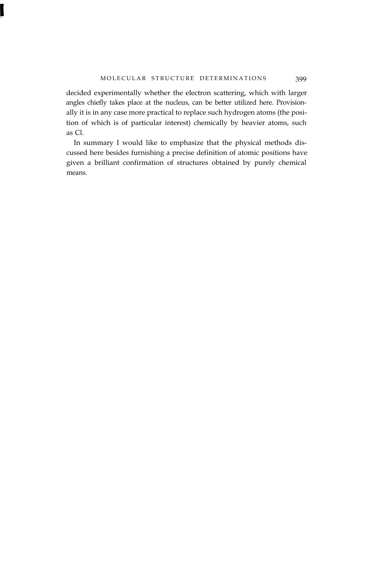decided experimentally whether the electron scattering, which with larger angles chiefly takes place at the nucleus, can be better utilized here. Provisionally it is in any case more practical to replace such hydrogen atoms (the position of which is of particular interest) chemically by heavier atoms, such as Cl.

In summary I would like to emphasize that the physical methods discussed here besides furnishing a precise definition of atomic positions have given a brilliant confirmation of structures obtained by purely chemical means.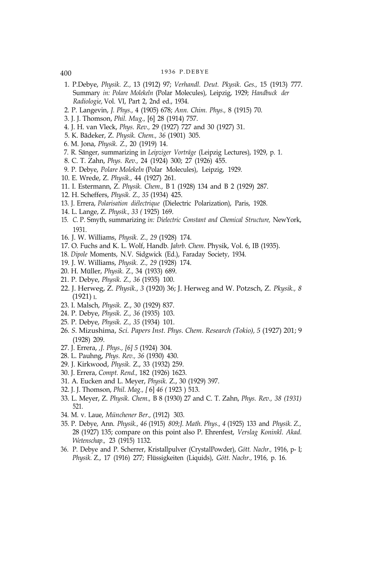- 
- 1. P.Debye, *Physik. Z.,* 13 (1912) 97; *Verhandl. Deut. Pkysik. Ges.,* 15 (1913) 777. Summary *in: Polare Molekeln* (Polar Molecules), Leipzig, 1929; *Handbuck der Radiologie,* Vol. VI, Part 2, 2nd ed., 1934.
- 2. P. Langevin, *J. Phys.,* 4 (1905) 678; *Ann. Chim. Phys.,* 8 (1915) 70.
- 3. J. J. Thomson, *Phil. Mug.,* [6] 28 (1914) 757.
- 4. J. H. van Vleck, *Phys. Rev.,* 29 (1927) 727 and 30 (1927) 31.
- 5. K. Bädeker, Z. *Physik. Chem., 36* (1901) 305.
- 6*.* M. Jona, *Physik. Z.,* 20 (1919) 14.
- 7. R. Sänger, summarizing in *Leipziger Vorträge* (Leipzig Lectures), 1929, p. 1.
- 8. C. T. Zahn, *Phys. Rev.,* 24 (1924) 300; 27 (1926) 455.
- 9. P. Debye, *Polare Molekeln* (Polar Molecules), Leipzig, 1929.
- 10. E. Wrede, Z. *Physik.,* 44 (1927) 261.
- 11. I. Estermann, Z. *Physik. Chem.,* B 1 (1928) 134 and B 2 (1929) 287.
- 12. H. Scheffers, *Physik. Z., 35* (1934) 425.
- 13. J. Errera, *Polarisation diélectrique* (Dielectric Polarization), Paris, 1928.
- 14. L. Lange, Z. *Physik., 33 (* 1925) 169.
- 15. *C.* P. Smyth, summarizing *in: Dielectric Constant and Chemical Structure,* NewYork, 1931.
- 16. J. W. Williams, *Physik. Z., 29* (1928) 174.
- 17. O. Fuchs and K. L. Wolf, Handb. *Jahrb. Chem.* Physik, Vol. 6, IB (1935).
- 18. *Dipole* Moments, N.V. Sidgwick (Ed.), Faraday Society, 1934.
- 19. J. W. Williams, *Physik. Z., 29* (1928) 174.
- 20. H. Müller, *Physik. Z.,* 34 (1933) 689.
- 21. P. Debye, *Physik. Z., 36* (1935) 100.
- 22. J. Herweg, Z. *Physik., 3* (1920) 36; J. Herweg and W. Potzsch, Z. *Pkysik., 8* (1921) I.
- 23. I. Malsch, *Physik.* Z., 30 (1929) 837.
- 24. P. Debye, *Physik. Z., 36* (1935) 103.
- 25*.* P. Debye, *Physik. Z., 35* (1934) 101.
- 26*. S.* Mizushima, *Sci. Papers Inst. Phys. Chem. Research (Tokio), 5* (1927) 201; 9 (1928) 209.
- 27. J. Errera, *,J. Phys., [6] 5* (1924) 304.
- 28. L. Pauhng, *Phys. Rev., 36* (1930) 430.
- 29. J. Kirkwood, *Physik.* Z., 33 (1932) 259.
- 30. J. Errera, *Compt. Rend.,* 182 (1926) 1623.
- 31. A. Eucken and L. Meyer, *Physik.* Z., 30 (1929) 397.
- 32. J. J. Thomson, *Phil. Mag., [* 6] *46 (* 1923 ) 513.
- 33. L. Meyer, Z. *Physik. Chem.,* B 8 (1930) 27 and C. T. Zahn, *Phys. Rev., 38 (1931)* 521.
- 34. M. v. Laue, *Münchener Ber.,* (1912) 303.
- 35*.* P. Debye, Ann. *Physik., 46* (1915) *809;J. Math. Phys., 4* (1925) 133 and *Physik. Z.,* 28 (1927) 135; compare on this point also P. Ehrenfest, *Verslag Koninkl. Akad. Wetenschap.,* 23 (1915) 1132.
- 36. P. Debye and P. Scherrer, Kristallpulver (CrystalPowder), *Gött. Nachr.,* 1916, p- I; *Physik.* Z., 17 (1916) 277; Flüssigkeiten (Liquids), *Gött. Nachr.,* 1916, p. 16.